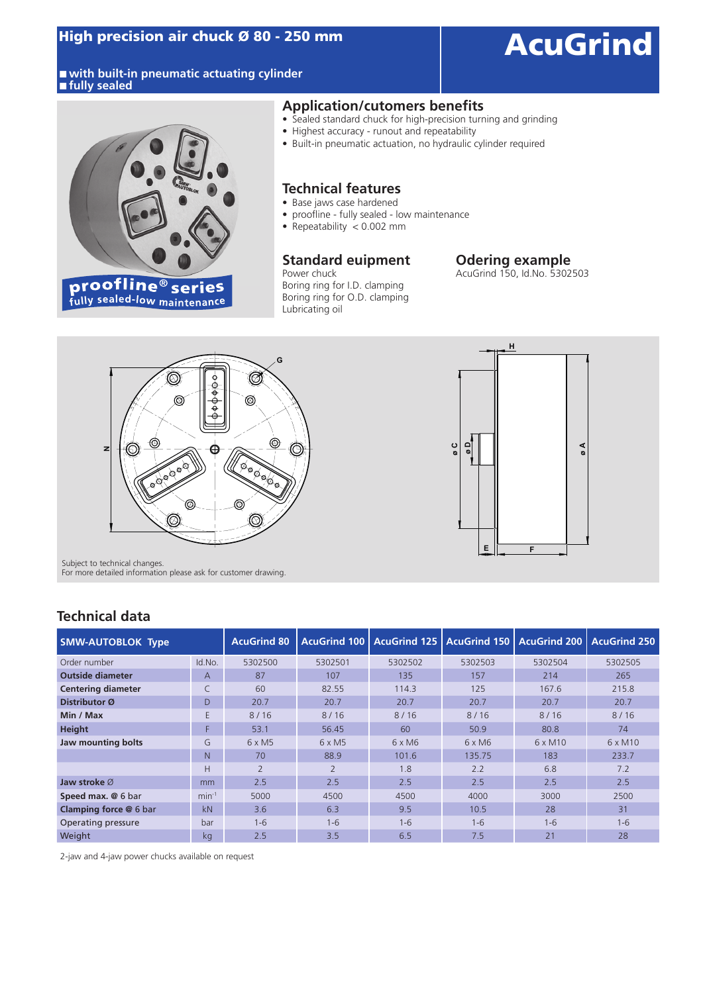#### ■ with built-in pneumatic actuating cylinder **■ fully sealed**

### High precision air chuck Ø 80 - 250 mm<br>
AcuGrind



#### **Application/cutomers benefits**

- Sealed standard chuck for high-precision turning and grinding
- Highest accuracy runout and repeatability
- Built-in pneumatic actuation, no hydraulic cylinder required

#### **Technical features**

- Base jaws case hardened
- proofline fully sealed low maintenance
- Repeatability < 0.002 mm

### **Standard euipment** Power chuck

Boring ring for I.D. clamping Boring ring for O.D. clamping Lubricating oil

### Odering example<br>AcuGrind 150, Id.No. 5302503





Subject to technical changes. For more detailed information please ask for customer drawing.

### **Technical data**

| <b>SMW-AUTOBLOK Type</b>      |         | <b>AcuGrind 80</b> |                | AcuGrind 100   AcuGrind 125   AcuGrind 150   AcuGrind 200   AcuGrind 250 |               |                |                |
|-------------------------------|---------|--------------------|----------------|--------------------------------------------------------------------------|---------------|----------------|----------------|
| Order number                  | Id.No.  | 5302500            | 5302501        | 5302502                                                                  | 5302503       | 5302504        | 5302505        |
| <b>Outside diameter</b>       | A       | 87                 | 107            | 135                                                                      | 157           | 214            | 265            |
| <b>Centering diameter</b>     | C       | 60                 | 82.55          | 114.3                                                                    | 125           | 167.6          | 215.8          |
| Distributor Ø                 | D       | 20.7               | 20.7           | 20.7                                                                     | 20.7          | 20.7           | 20.7           |
| Min / Max                     | E       | 8/16               | $8/16$         | $8/16$                                                                   | 8/16          | 8/16           | 8/16           |
| Height                        | F       | 53.1               | 56.45          | 60                                                                       | 50.9          | 80.8           | 74             |
| Jaw mounting bolts            | G       | $6 \times M5$      | $6 \times M5$  | $6 \times M6$                                                            | $6 \times M6$ | $6 \times M10$ | $6 \times M10$ |
|                               | N.      | 70                 | 88.9           | 101.6                                                                    | 135.75        | 183            | 233.7          |
|                               | Н       | $\overline{2}$     | $\overline{2}$ | 1.8                                                                      | 2.2           | 6.8            | 7.2            |
| Jaw stroke $\varnothing$      | mm      | 2.5                | 2.5            | 2.5                                                                      | 2.5           | 2.5            | 2.5            |
| Speed max. @ 6 bar            | $min-1$ | 5000               | 4500           | 4500                                                                     | 4000          | 3000           | 2500           |
| <b>Clamping force @ 6 bar</b> | kN      | 3.6                | 6.3            | 9.5                                                                      | 10.5          | 28             | 31             |
| Operating pressure            | bar     | $1 - 6$            | $1 - 6$        | $1 - 6$                                                                  | $1 - 6$       | $1 - 6$        | $1 - 6$        |
| Weight                        | kg      | 2.5                | 3.5            | 6.5                                                                      | 7.5           | 21             | 28             |

2-jaw and 4-jaw power chucks available on request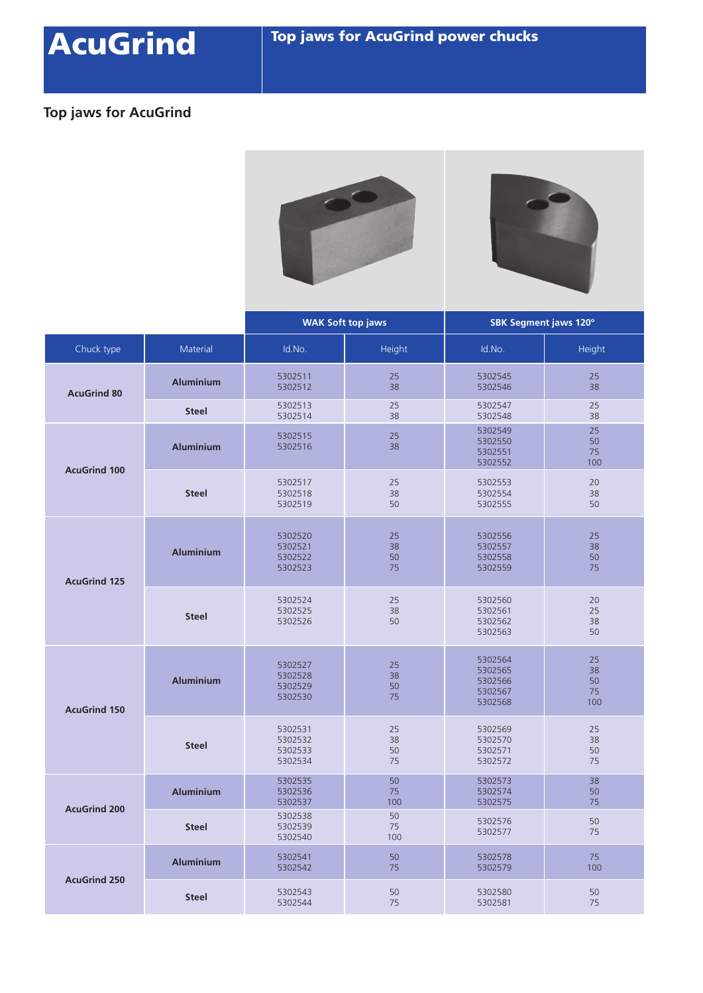# AcuGrind Top jaws for AcuGrind power chucks

### **Top jaws for AcuGrind**





|                     |                  | <b>WAK Soft top jaws</b>                 |                      | SBK Segment jaws 120°                               |                             |
|---------------------|------------------|------------------------------------------|----------------------|-----------------------------------------------------|-----------------------------|
| Chuck type          | <b>Material</b>  | Id.No.                                   | Height               | Id.No.                                              | Height                      |
| <b>AcuGrind 80</b>  | <b>Aluminium</b> | 5302511<br>5302512                       | 25<br>38             | 5302545<br>5302546                                  | 25<br>38                    |
|                     | <b>Steel</b>     | 5302513<br>5302514                       | 25<br>38             | 5302547<br>5302548                                  | 25<br>38                    |
| <b>AcuGrind 100</b> | <b>Aluminium</b> | 5302515<br>5302516                       | 25<br>38             | 5302549<br>5302550<br>5302551<br>5302552            | 25<br>50<br>75<br>100       |
|                     | <b>Steel</b>     | 5302517<br>5302518<br>5302519            | 25<br>38<br>50       | 5302553<br>5302554<br>5302555                       | 20<br>38<br>50              |
| <b>AcuGrind 125</b> | <b>Aluminium</b> | 5302520<br>5302521<br>5302522<br>5302523 | 25<br>38<br>50<br>75 | 5302556<br>5302557<br>5302558<br>5302559            | 25<br>38<br>50<br>75        |
|                     | <b>Steel</b>     | 5302524<br>5302525<br>5302526            | 25<br>38<br>50       | 5302560<br>5302561<br>5302562<br>5302563            | 20<br>25<br>38<br>50        |
| <b>AcuGrind 150</b> | <b>Aluminium</b> | 5302527<br>5302528<br>5302529<br>5302530 | 25<br>38<br>50<br>75 | 5302564<br>5302565<br>5302566<br>5302567<br>5302568 | 25<br>38<br>50<br>75<br>100 |
|                     | <b>Steel</b>     | 5302531<br>5302532<br>5302533<br>5302534 | 25<br>38<br>50<br>75 | 5302569<br>5302570<br>5302571<br>5302572            | 25<br>38<br>50<br>75        |
| <b>AcuGrind 200</b> | <b>Aluminium</b> | 5302535<br>5302536<br>5302537            | 50<br>75<br>100      | 5302573<br>5302574<br>5302575                       | 38<br>50<br>75              |
|                     | <b>Steel</b>     | 5302538<br>5302539<br>5302540            | 50<br>75<br>100      | 5302576<br>5302577                                  | 50<br>75                    |
| <b>AcuGrind 250</b> | <b>Aluminium</b> | 5302541<br>5302542                       | 50<br>75             | 5302578<br>5302579                                  | 75<br>100                   |
|                     | <b>Steel</b>     | 5302543<br>5302544                       | 50<br>75             | 5302580<br>5302581                                  | 50<br>75                    |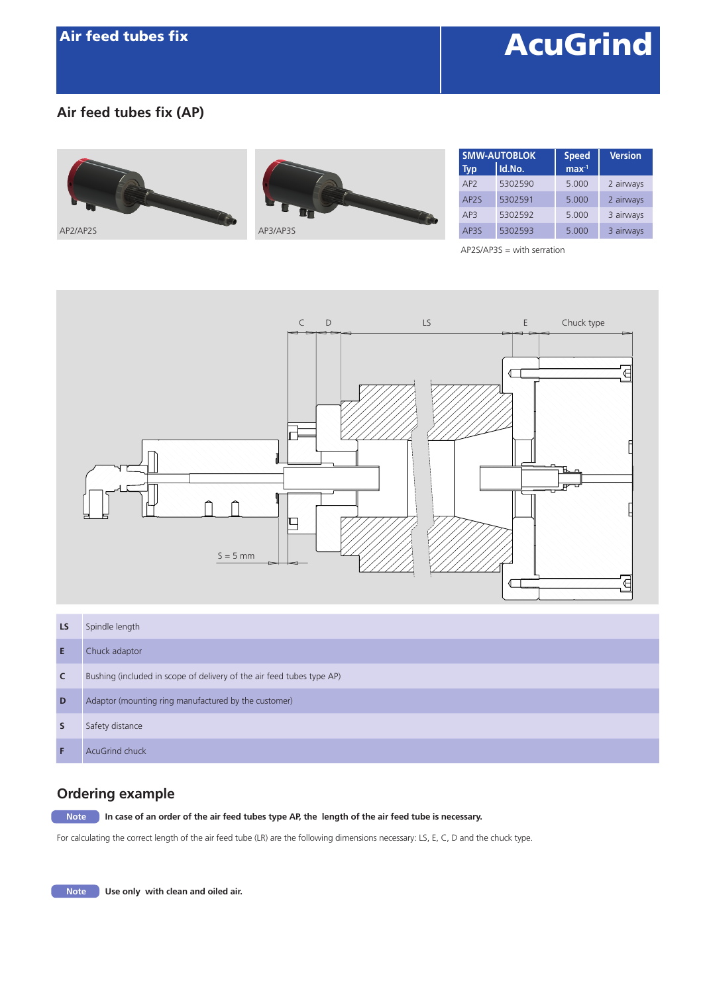## **AcuGrind**

### **Air feed tubes fix (AP)**





| <b>SMW-AUTOBLOK</b> |         | <b>Speed</b>     | <b>Version</b> |
|---------------------|---------|------------------|----------------|
| <b>Typ</b>          | Id.No.  | max <sup>1</sup> |                |
| AP <sub>2</sub>     | 5302590 | 5.000            | 2 airways      |
| AP <sub>2</sub> S   | 5302591 | 5.000            | 2 airways      |
| AP3                 | 5302592 | 5.000            | 3 airways      |
| AP3S                | 5302593 | 5.000            | 3 airways      |

AP2S/AP3S = with serration



| LS | Spindle length                                                        |
|----|-----------------------------------------------------------------------|
| Е  | Chuck adaptor                                                         |
| C  | Bushing (included in scope of delivery of the air feed tubes type AP) |
| D  | Adaptor (mounting ring manufactured by the customer)                  |
| s  | Safety distance                                                       |
|    | AcuGrind chuck                                                        |

### **Ordering example**

**In case of an order of the air feed tubes type AP, the length of the air feed tube is necessary.** 

For calculating the correct length of the air feed tube (LR) are the following dimensions necessary: LS, E, C, D and the chuck type.

**Note** Use only with clean and oiled air.